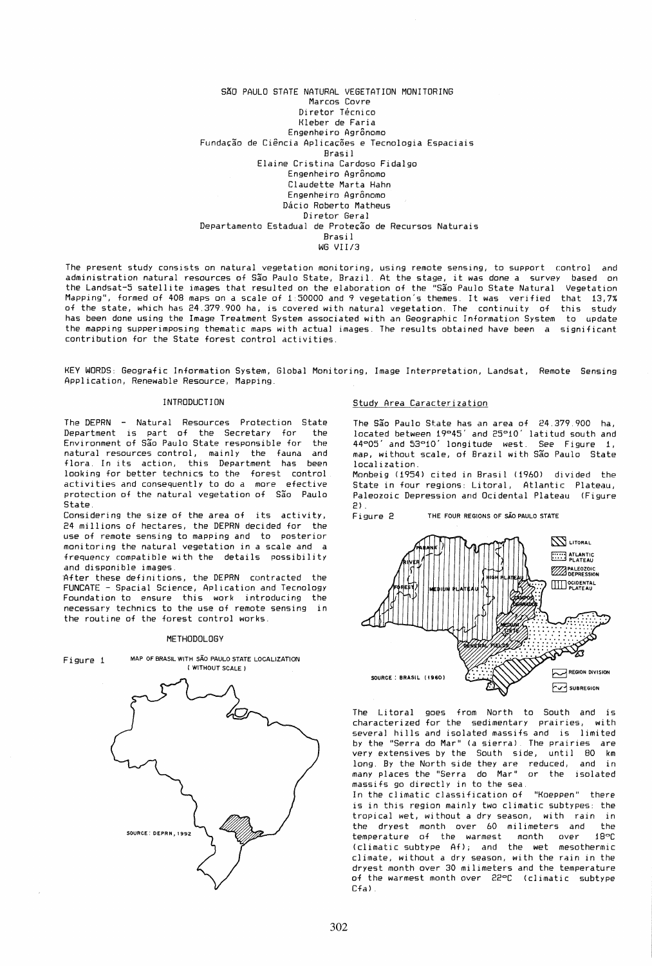### SÃO PAULO STATE NATURAL VEGETATION MONITORING Marcos Covre Diretor Técnico Kleber de Faria Engenheiro Agrônomo Fundação de Ciência Aplicações e Tecnologia Espaciais Brasil Elaine Cristina Cardoso Fidalgo Engenheiro Agrônomo Claudette Marta Hahn Engenheiro Agronomo Dácio Roberto Matheus Diretor Geral Departamento Estadual de Proteção de Recursos Naturais Bras i 1 WG VI *I13*

The present study consists on natural vegetation monitoring. using remote sensing. to support control and administration natural resources of Sao Paulo State. Brazil. At the stage, it was done a survey based on the Landsat-5 satellite images that resulted on the elaboration of the "São Paulo State Natural Vegetation Mapping". formed of 408 maps on a scale of 1:50000 and 9 vegetation's themes. It was verified that 13.7% of the state, which has 24.379.900 ha, is covered with natural vegetation. The continuity of this study has been done using the Image Treatment System associated with an Geographic Information System to update the mapping supperimposing thematic maps with actual images. The results obtained have been a significant contribution for the State forest control activities.

KEY WORDS: Geografic Information System. Global Monitoring. Image Interpretation. Landsat. Remote Sensing Application. Renewable Resource. Mapping.

#### INTRODUCTION

The DEPRN - Natural Resources Protection State Department is part of the Secretary for the Environment of Sao Paulo State responsible for the natural resources control, mainly the fauna and flora. In its action, this Department has been looking for better technics to the forest control activities and consequently to do a more efective protection of the natural vegetation of São Paulo State.

Considering the size of the area of its activity, 24 millions of hectares, the DEPRN decided for the use of remote sensing to mapping and to posterior monitoring the natural vegetation in a scale and a frequency compatible with the details possibility and disponible images.

After these definitions, the DEPRN contracted the FUNCATE - Spacial Science. Aplication and Tecnology Foundation to ensure this work introducing the necessary technics to the use of remote sensing in the routine of the forest control works.

### METHODOLOGY



### Study Area Caracterization

The São Paulo State has an area of 24.379.900 ha, located between 19°45' and 25°10' latitud south and 44°05' and 53°10' longitude west. See Figure 1, map, without scale, of Brazil with São Paulo State localization.

Monbeig (1954) cited in Brasil (1960) divided the State in four regions: Litoral, Atlantic Plateau, Paleozoic Depression and Ocidental Plateau (Figure 2) .

Figure 2 THE FOUR REGIONS OF sAo PAULO STATE



The Litoral goes from North to South and is characterized for the sedimentary prairies, with severa] hills and isolated massifs and is limited *by* the "Serra do Mar" (a sierra). The prairies are very extensives by the South side. until 80 km long. By the North side they are reduced, and in many places the "Serra do Mar" or the isolated massifs go directly in to the sea.

In the climatic classification of "Koeppen" there is in this region mainly two climatic subtypes: the tropical wet, without a dry season, with rain in the dryest month over 60 milimeters and the temperature of the warmest month over 18 C (climatic subtype Af); and the wet mesothermic climate, without a dry season, with the rain in the dryest month over 30 milimeters and the temperature of the warmest month over 22°C (climatic subtype Cfa) .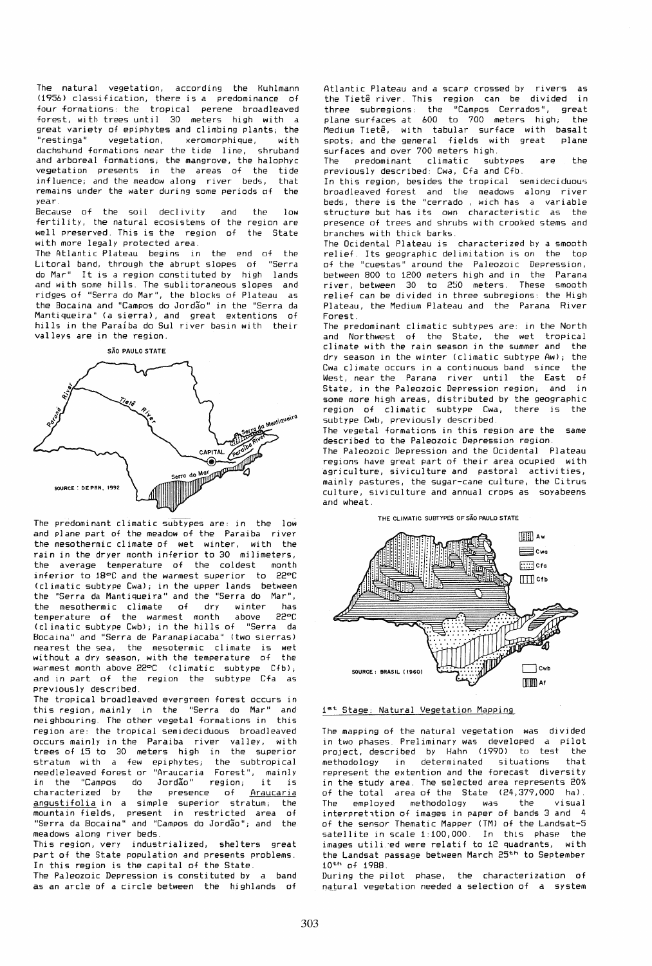The natural vegetation, according the Kuhlmann (1956) classification, there is a predominance of four formations: the tropical perene broadleaved forest, with trees until 30 meters high with a great variety of epiphytes and climbing plants; the "restinga" vegetation, xeromorphique, with dachshund formations near the tide line, shruband and arboreal formations; the mangrove, the halophyc vegetation presents in the areas of the tide influence; and the meadow along river beds, that remains under the water during some periods of the year,

Because of the soil declivity and the low fertility, the natural ecosistems of the region are well preserved, This is the region of the State with more legaly protected area.

The Atlantic Plateau begins in the end of the Litoral band, through the abrupt slopes of "Serra do Mar" It is a region constituted by high lands and with some hills. The sublitoraneous slopes and ridges of "Serra do Mar", the blocks of Plateau as the Bocaina and "Campos do Jordao" in the "Serra da Mantiqueira" Ca sierra), and great extentions of hills in the Paraiba do SuI river basin with their valleys are in the region.





The predominant climatic subtypes are: in the low and plane part of the meadow of the Paraiba river the mesothermic climate of wet winter, with the rain in the dryer month inferior to 30 milimeters, the average temperature of the coldest month inferior to 18°C and the warmest superior to 22°C <climatic subtype Cwa); in the upper lands between the "Serra da Mantiqueira" and the "Serra do Mar", the mesothermic climate of dry winter has temperature of the warmest month above 22°C temperature of the warmest month above 22<mark>°C</mark><br>(climatic subtype Cwb); in the hills of "Serra da Bocaina" and "Serra de Paranapiacaba" (two sierras) nearest the sea, the mesotermic climate is wet<br>without a dry season, with the temperature of the without a dry season, with the temperature of warmest month above 22°C (climatic subtype Cfb); and in part of the region the subtype Cfa as previously described.

The tropical broadleaved evergreen forest occurs in this region, mainly in the "Serra do Mar" and neighbouring, The other vegetal formations in this region are: the tropical semi deciduous broadleaved occurs mainly in the Paraiba river valley, with trees of 15 to 30 meters high in the superior stratum with a few epiphytes; the subtropical needleleaved forest or "Araucaria Forest", mainly<br>in the "Campos do Jordão" region; it is in the "Campos do Jordão" region; characterized by the presence of <u>Araucaria</u> angustifolia in a simple superior stratum; the mountain fields, present in restricted area of "Serra da Bocaina" and "Campos do Jordio"; and the meadows along river beds.

This region, very industrialized, shelters great part of the State population and presents problems. In this region is the capital of the State.

The Paleozoic Depression is constituted by a band as an arcle of a circle between the highlands of Atlantic Plateau and a scarp crossed by rivers as the Tietê river. This region can be divided in three subregions: the "Campos Cerrados", great plane surfaces at 600 to 700 meters high; the Medium Tietê, with tabular surface with basalt<br>spots: and the general fields with great plane spots; and the general fields with great surfaces and over 700 meters high.<br>The predominant climatic subtypes

predominant climatic subtypes are the previously described: CWd, Cfa and Cfb.

In this region, besides the tropical semi deciduous broadleaved forest and tile meadows along river beds, there is the "cerrado , wich has a variable structure but has its own characteristic as the presence of trees and shrubs with crooked stems and branches with thick barks.

The Dcidental Plateau is characterized by a smooth relief, Its geographic delimitation is on the top of the "cuestas" around the Paleozoic Depression, between 800 to t200 meters high and in the Parana river, between 30 to 250 meters. These smooth relief can be divided in three subregions: the High Plateau. the Medium Plateau and the Parana River Forest.

The predominant climatic subtypes are: in the North and Northwest of the State, the wet tropical climate with the rain season in the summer and the dry season in the winter (climatic subtype Aw); the Cwa climate occurs in a continuous band since the West, near the Parana river until the East of State, in the Paleozoic Depression region; and in some more high areas, distributed by the geographic region of climatic subtype Cwa, there is the subtype Cwb, previously described,

The vegetal formations in this region are the same described to the Paleozoic Depression region,

The Paleozoic Depression and the Dei dental Plateau regions have great part of their area ocupied with agriculture, siviculture and pastoral activities, mainly pastures, the sugar-cane culture, the Citrus culture, siviculture and annual crops as soyabeens and wheat.

# THE CLIMATIC SUBTYPES OF SÃO PAULO STATE



### 1st Stage: Natural Vegetation Mapping

The mapping of the natural vegetation was divided in two phases, Preliminary was developed a pilot project, described by Hahn (1990) to test the methodology in determinated situations that represent the extention and the forecast diversity in the study area. The selected area represents 20% of the total drea of the State (24,379,000 ha). The employed methodology was the visual interpretition of images in paper of bands 3 and 4 of the sensor Thematic Mapper (TM) of the Landsat-5 satellite in scale 1:100,000, In this phase the images utili ed were relatif to 12 quadrants, with the Landsat passage between March 25th to September  $10^{th}$  of  $1988$ .

During the pilot phase, the characterization of natural vegetation needed a selection of a system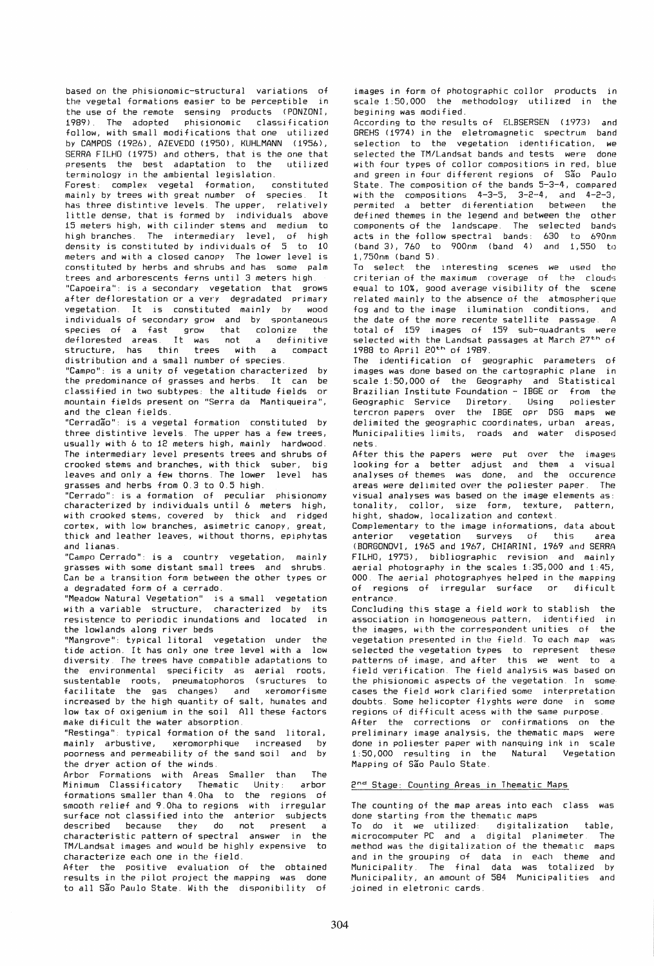based on the phisionomic-structural variations of the vegetal formations easier to be perceptible in the use of the remote sensing products <mark>(PONZONI,</mark><br>1989). The adopted phisionomic classification 1989). The adopted phisionomic classification follow, with small modifications that one utilized by CAMPOS (1926), AZEVEDO (1950), KUHLMANN (1956), SERRA FILHO (1975) and others, that is the one that presents the best adaptation to the utilized terminology in the ambiental legislation.

Forest: complex vegetal formation, constituted mainly by trees with great number of species. It has three distintive levels. The upper, relatively little dense, that is formed by individuals above 15 meters high, with cilinder stems and medium to high branches. The intermediary level, of high density is constituted by individuals of 5 to 10 meters and with a closed canopy The lower level is constituted by herbs and shrubs and has some palm trees and arborescents ferns until 3 meters high

"Capoei ra": is d secondary vegetation that grows after deflorestation or a very degradated primary vegetation. It is constituted mainly by individuals of secondary grow and by spontaneous species of a fast grow that colonize the deflorested areas. It was not a definitive structure, has thin trees with a compact structure, has thin trees with a<br>distribution and a small number of species.

"Campo": is a unity of vegetation characterized by the predominance of grasses and herbs. It can be classified in two subtypes: the altitude fields or mountain fields present on "Serra da Mantiqueira", and the clean fields.

"Cerradio": is a vegetal formation constituted by three distintive levels. The upper has a few trees, usually with 6 to 12 meters high, mainly hardwood. The intermediary level presents trees and shrubs of crooked stems and branches, with thick suber, big leaves and only a few thorns. The lower level has grasses and herbs from 0.3 to 0.5 high.

"Cerrado": is a formation of pecul iar phisionomy characterized by individuals until 6 meters high, with crooked stems, covered by thick and ridged cortex. with low branches, asimetric canopy, great, thick and leather leaves, without thorns, epiphytas and lianas.

"Campo Cerrado": is a country vegetation, mainly grasses with some distant small trees and shrubs. Can be a transition form between the other types or a degradated form of a cerrado.

"Meadow Natural Vegetation" is a small vegetation with a variable structure, characterized by its resistence to periodic inundations and located in the lowlands along river beds

"Mangrove": typical litoral vegetation under the tide action. It has only one tree level with a diversity The trees have compatible adaptations to the environmental specificity as aerial roots, sustentable roots, pneumatophoros (sructures to facilitate the gas changes) and increased by the high quantity of salt, humates and low tax of oxigenium in the soil All these factors make dificult the water absorption.

"Restinga": typical formation of the sand litoral,<br>mainly arbustive, xeromorphique increased by xeromorphique increased by poorness and permeability of the sand soil and by the dryer action of the winds.

Arbor Formations with Areas Smaller than The Minimum Classificatory Thematic Unity: arbor formations smaller than 4.0ha to the regions of smooth relief and 9.0ha to regions with irregular surface not classified into the anterior subjects described because they do not present a characteristic pattern of spectral answer in the TM/Landsat images and would be highly expensive to characterize each one in the field.

After the positive evaluation of the obtained results in the pilot project the mapping was done to all Sio Paulo State. With the disponibility of images in form of photographic collor products in scale 1:50,000 the methodology utilized in the begining was modified.

According to the results of ELBSERSEN (1973) and GREHS (1974) in the eletromagnetic spectrum band selection to the vegetation identification, we selected the TM/Landsat bands and tests were done with four types of collor compositions in red, blue and green in four different regions of Sio Paulo State. The composition of the bands 5-3-4, compared with the compositions 4-3-5, 3-2-4, and 4-2-3, permited a better diferentiation between the defined themes in the legend and between the other<br>components of the landscape. The selected bands components of the landscape. The selected bands<br>acts in the follow spectral bands: 630 to 690nm acts in the follow spectral bands:  $630$  to (band 3', 760 to 900nm (band 4) and 1,550 to 1,750nm (band 5).

To select the interesting scenes we used the criterian of the maximum coverage of the clouds equal to 10%, good average visibility of the scene related mainly to the absence of the atmospherique fog and to the image ilumination conditions, and the date of the more recente satellite passage. A total of 159 images of 159 sub-quadrants were selected with the Landsat passages at March 27<sup>th</sup> of 1988 to April 20th of 1989.

The identification of geographic parameters images was done based on the cartographic plane in scale 1:50,000 of the Geography and Statistical Brazilian Institute Foundation - lBGE or from the Geographic Service Diretory. Using poliester tercron papers over the lBGE apr DSG maps we delimited the geographic coordinates, urban areas, Municipalities limits, roads and water disposed nets.

After this the papers were put over the images looking for a better adjust and them a visual analyses of themes was done, and the occurence<br>areas were delimited over the poliester paper. The areas were delimited over the poliester paper. visual analyses was based on the image elements as: tonality, collor, size form, texture, pattern, hight, shadow, localization and context.

Complementary to the image informations, data about anterior vegetation surveys of this area (BORGONOVI, 1965 and 1967; CHIARINI, 1969 and SERRA FILHO, 1975), bibliographic revision and mainly aerial photography in the scales 1:35,000 and 1:45, 000 The aerial photographyes helped in the mapping of regions of irregular surface or dificult entrance.

Concluding this stage a field work to stablish the association in homogeneous pattern, identified in the images, with the correspondent unities of the vegetation presented in the field. To each map was selected the vegetation types to represent these patterns of image, and after this we went to a field verification. The field analysis was based on the phisionomic aspects of the vegetation. In some cases the field work clarified some interpretation doubts. Some helicopter flyghts were done in some regions of difficult acess with the same purpose.

After the corrections or confirmations on the preliminary image analysis, the thematic maps were done in poliester paper with nanquing ink in scale  $1:50,000$  resulting in the Mapping of Sio Paulo State.

### 2nd Stage: Counting Areas in Thematic Maps

The counting of the map areas into each class was done starting from the thematic maps<br>To do it we utilized: digitalization

To do it we utilized: digitalization table,<br>microcomputer.PC and a digital planimeter. The microcomputer PC and a digital planimeter. method was the digitalization of the thematic maps and in the grouping of data in each theme and Municipality. The final data was totalized by Municipality, an amount of 584 Municipalities and joined in eletronic cards.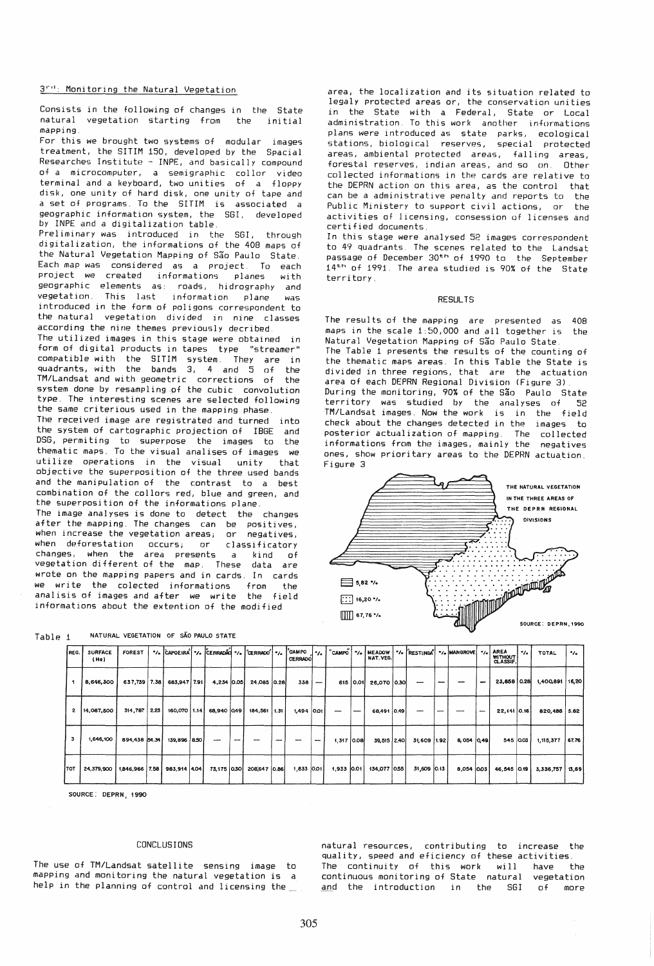# 3""': Monitoring the Natural Vegetation

Consists in the following of changes in the State<br>natural vegetation starting from the initial natural vegetation starting from mapping.

For this we brought two systems of modular images treatment, the SITIM 150, developed by the Spacial Researches Institute - INPE, and basically compound of a microcomputer, a semigraphic collor video terminal and a keyboard, two unities of a floppy disk, one unity of hard disk, one unity of tape and a set of programs. To the SITIM is associated a geographic information system, the SGI, developed *by* INPE and a digitalization table.

Preliminary was introduced in the SGI, through digitalization, the informations of the 408 maps of the Natural Vegetation Mapping of São Paulo State. Each map was considered as a project. To each project we created informations planes with geographic elements as: roads, hidrography and information plane was introduced in the form of poligons correspondent to the natural vegetation divided *in* nine classes according the nine themes previously decribed.

The utilized images in this stage were obtained in<br>form of digital products in tapes type "streamer" form of digital products in tapes type compatible with the SITIM system. They are in quadrants, with the bands 3, 4 and 5 of the TM/Landsat and with geometric corrections of the system done by resampling of the cubic convolution type. The interesting scenes are selected following the same criterious used in the mapping phase.

The received image are registrated and turned into the system of cartographic projection of IBGE and DSG, permiting to superpose the images to the thematic maps. To the visual analises of images we utilize operations in the visual unity that objective the superposition of the three used bands and the manipulation of the contrast to a best combination of the collors red, blue and green, and the superposition of the informations plane.

The image analyses is done to detect the changes after the mapping. The changes can be positives, when increase the vegetation areas; or negatives, when deforestation occurs; or classificatory<br>changes, when the area presents a kind of changes, when the area presents a vegetation different of the map. These data are wrote on the mapping papers and in cards. In cards we write the colected informations from the anal isis of images and after we write the field informations about the extention of the modified

Table 1 \_\_ NATURAL VEGETATION OF SÃO PAULO STATE

area, the localization and its situation related to legaly protected areas or, the conservation unities in the State with a Federal, State or Local administration. To this work another' informations plans were introduced as state parks, ecological stations, biological reserves, special protected areas, ambiental protected areas, falling areas, forestal reserves, indian areas, and so on. Other collected informations in the cards are relative to the DEPRN action on this area, as the control that can be a administrative penalty and reports to the Public Ministery to support civil actions, or the activities of licensing, consession of licenses and certified documents.

In this stage were analysed 52 images correspondent to 49 quadrants. The scenes related to the Landsat passage of December 30th of 1990 to the September 14<sup>th</sup> of 1991. The area studied is 90% of the State territory.

#### RESULTS

The results of the mapping are presented as 408 maps in the scale 1:50,000 and all together is the Natural Vegetation Mapping of São Paulo State. The Table 1 presents the results of the counting of the thematic maps areas. In this Table the State is divided in three regions, that are the actuation area of each DEPRN Regional Division (Figure 3) . During the monitoring, 90% of the São Paulo State territory was studied by the analyses of 52 TM/Landsat images. Now the work is in the field check about the changes detected in the images to posterior actualization of mapping. The collected informations from the images, mainly the negatives ones, show prioritary areas to the DEPRN actuation. Figure 3



| REG. | <b>SURFACE</b><br>(Ha) | FOREST         |      |              |             |              | CERRADO    |                          |              |          | NAT. VEG.   | "> CAPOEIRA "> CERRADÃO "> ("CERRADO" "> CAMPO J"> CAMPO "> MEADOW "> FRESTINGA" "> MANGROVE "> AREA |            |        | WITHOUT<br>CLASSIF. | $^{\bullet}/\bullet$ | TOTAL     | $\cdot$ |
|------|------------------------|----------------|------|--------------|-------------|--------------|------------|--------------------------|--------------|----------|-------------|------------------------------------------------------------------------------------------------------|------------|--------|---------------------|----------------------|-----------|---------|
|      | 8,646,300              | 637.739 7.38   |      | 683,947 7.91 | 4,234 0.05  | 24,085 0.28  | 338        | $\overline{\phantom{m}}$ |              | 615 0.01 | 26,070 0.30 | --                                                                                                   |            | $\sim$ | 23,858 0.28         |                      | 1,400,891 | 16,20   |
| 2    | 14,067,500             | 314,787        | 2.23 | 160,070 1.14 | 68,940 049  | 184,561 1.31 | 1,494 0.01 |                          |              |          | 68,491 0.49 |                                                                                                      |            | ---    | 22, 141 0.16        |                      | 820,488   | 5.62    |
| з    | 1,646,100              | 894,438 54.34  |      | 139,896 8.50 |             |              |            | -                        | $1.317$ 0.08 |          | 39,515 2.40 | 31,609   1.92                                                                                        | 8,054 0.49 |        | 545 0.03            |                      | 1,115,377 | 67.76   |
| ітот | 24,379,900             | 1,846,966 7.58 |      | 983,914 4.04 | 73,175 0.30 | 208,647 0.86 | 1,833 0.01 |                          | 1,933 0.01   |          | 134,077 055 | 31,609 0.13                                                                                          | 8,054 0.03 |        | 46,545 0.19         |                      | 3,336,757 | 13,69   |

SOURCE: DEPRN, 1990

#### CONCLUSIONS

The use of TM/Landsat satellite sensing image to mapping and monitoring the natural vegetation is a help in the planning of control and licensing the

natural resources, contributing to increase the quality, speed and eficiency of these activities. The continuity of this work will have the continuous monitoring of State natural vegetation<br>and the introduction in the SGI of more and the introduction in the SGI of more